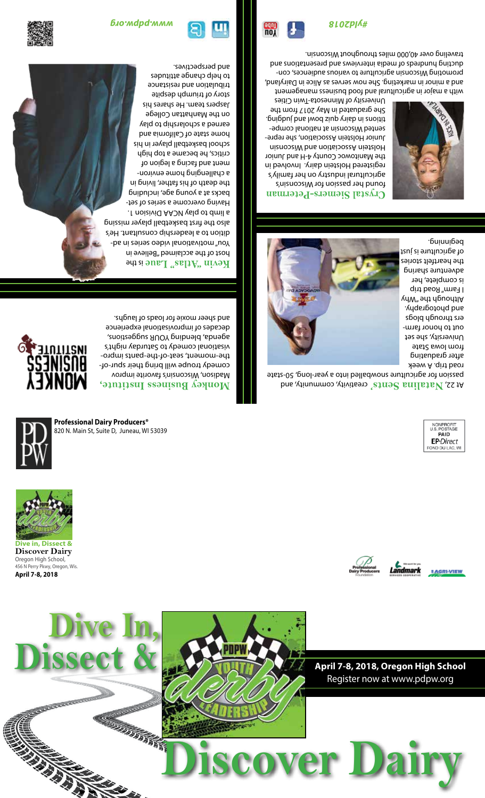

**Dive in, Dissect & Discover Dairy** Oregon High School, 456 N Perry Pkwy, Oregon, Wis. **April 7-8, 2018**





**Professional Dairy Producers®** 820 N. Main St, Suite D, Juneau, WI 53039

# **Monkey Business Institute,**

Madison, Wisconsin's favorite improv comedy troupe will bring their spur-of the-moment, seat-of-the-pants improvisational comedy to Saturday night's agenda) pleuphol on bagearious, the decades of improvisational experience and sheer moxie for loads of laughs.



is the **Kevin "Atlas" Laue** host of the acclaimed "Believe in -bs ni zeites oebiv lanoitsvitom "uoY dition to a leadership consultant. He's also the first basketball player missing . I noiziviQ AADV vslq ot dmil s Having overcome a series of setbacks at a young age, including the death of his father, living in a challenging home environment and facing a legion of critics, he became a top high sid ni 19yalq lladfekal lood ba bns state of California and earned a scholarship to play on the Manhattan College Jaspers team. He shares his story of triumph despite tribulation and resistance to help change attitudes

and perspectives.



1 AGRI-VIEW

Landmark

creativity, community, and **nts' Natalina Se** At 22, passion for agriculture snowballed into a year-long, 50-state road trip. A week



after graduating from Iowa State University, she set out to honor farmers through blogs and photography.  $\chi$ dW" 9d $\phi$  d $\chi$ by od $\eta$ I Farm" Road trip is complete, her adventure sharing the heartfelt stories of agriculture is just beginning.

#### **stal Siemers-Peterman Cry** 's found her passion for Wisconsin

agricultural industry on her family's registered Holstein dairy. Involved in the Manitowoc County 4-H and Junior Holstein Association and Wisconsin - Junior Holstein Association, she repre - sented Wisconsin at national compe titions in dairy quiz bowl and judging. She graduated in May 2017 from the University of Minnesota-Twin Cities